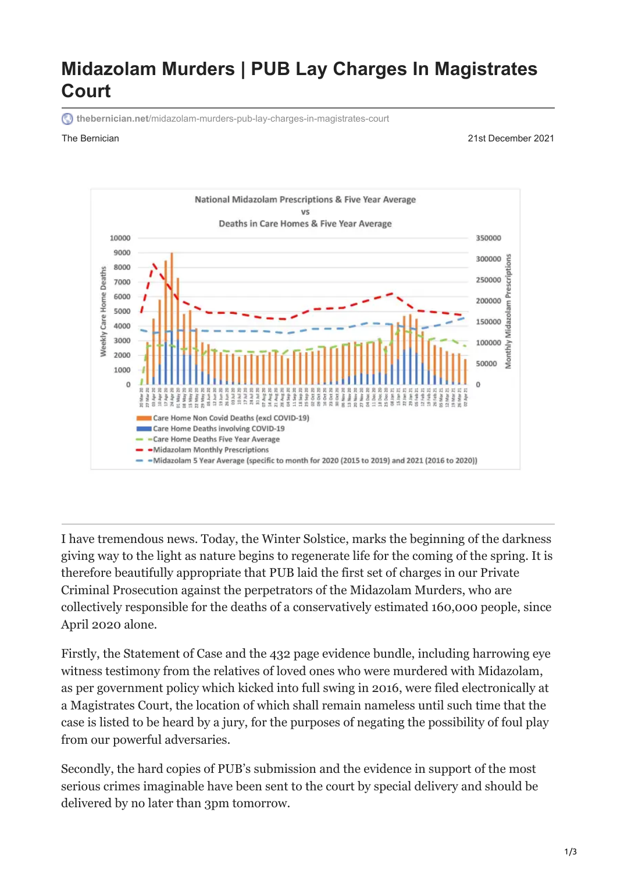# **Midazolam Murders | PUB Lay Charges In Magistrates Court**

**thebernician.net**[/midazolam-murders-pub-lay-charges-in-magistrates-court](https://www.thebernician.net/midazolam-murders-pub-lay-charges-in-magistrates-court/)

The Bernician 21st December 2021



I have tremendous news. Today, the Winter Solstice, marks the beginning of the darkness giving way to the light as nature begins to regenerate life for the coming of the spring. It is therefore beautifully appropriate that PUB laid the first set of charges in our Private Criminal Prosecution against the perpetrators of the Midazolam Murders, who are collectively responsible for the deaths of a conservatively estimated 160,000 people, since April 2020 alone.

Firstly, the Statement of Case and the 432 page evidence bundle, including harrowing eye witness testimony from the relatives of loved ones who were murdered with Midazolam, as per government policy which kicked into full swing in 2016, were filed electronically at a Magistrates Court, the location of which shall remain nameless until such time that the case is listed to be heard by a jury, for the purposes of negating the possibility of foul play from our powerful adversaries.

Secondly, the hard copies of PUB's submission and the evidence in support of the most serious crimes imaginable have been sent to the court by special delivery and should be delivered by no later than 3pm tomorrow.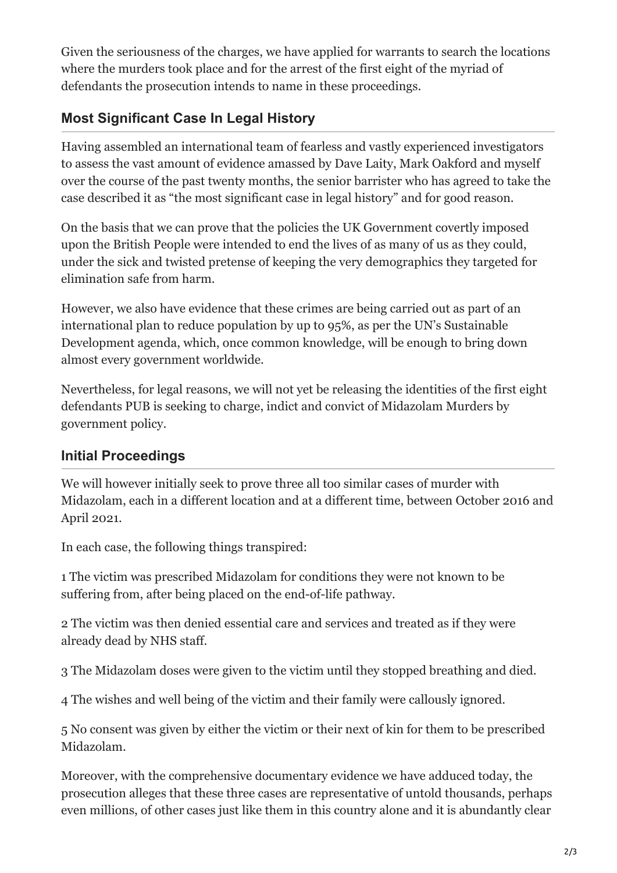Given the seriousness of the charges, we have applied for warrants to search the locations where the murders took place and for the arrest of the first eight of the myriad of defendants the prosecution intends to name in these proceedings.

# **Most Significant Case In Legal History**

Having assembled an international team of fearless and vastly experienced investigators to assess the vast amount of evidence amassed by Dave Laity, Mark Oakford and myself over the course of the past twenty months, the senior barrister who has agreed to take the case described it as "the most significant case in legal history" and for good reason.

On the basis that we can prove that the policies the UK Government covertly imposed upon the British People were intended to end the lives of as many of us as they could, under the sick and twisted pretense of keeping the very demographics they targeted for elimination safe from harm.

However, we also have evidence that these crimes are being carried out as part of an international plan to reduce population by up to 95%, as per the UN's Sustainable Development agenda, which, once common knowledge, will be enough to bring down almost every government worldwide.

Nevertheless, for legal reasons, we will not yet be releasing the identities of the first eight defendants PUB is seeking to charge, indict and convict of Midazolam Murders by government policy.

### **Initial Proceedings**

We will however initially seek to prove three all too similar cases of murder with Midazolam, each in a different location and at a different time, between October 2016 and April 2021.

In each case, the following things transpired:

1 The victim was prescribed Midazolam for conditions they were not known to be suffering from, after being placed on the end-of-life pathway.

2 The victim was then denied essential care and services and treated as if they were already dead by NHS staff.

3 The Midazolam doses were given to the victim until they stopped breathing and died.

4 The wishes and well being of the victim and their family were callously ignored.

5 No consent was given by either the victim or their next of kin for them to be prescribed Midazolam.

Moreover, with the comprehensive documentary evidence we have adduced today, the prosecution alleges that these three cases are representative of untold thousands, perhaps even millions, of other cases just like them in this country alone and it is abundantly clear